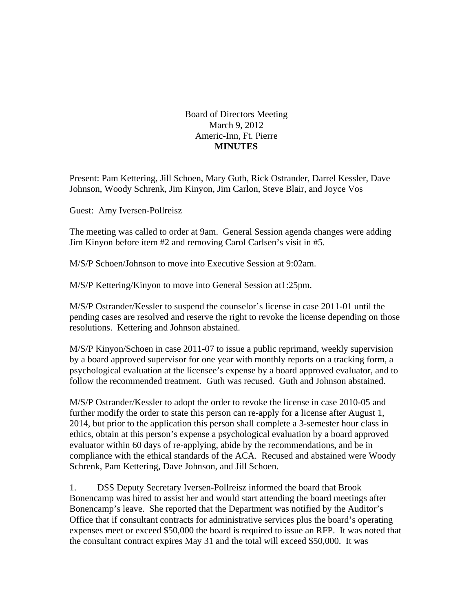Board of Directors Meeting March 9, 2012 Americ-Inn, Ft. Pierre **MINUTES** 

Present: Pam Kettering, Jill Schoen, Mary Guth, Rick Ostrander, Darrel Kessler, Dave Johnson, Woody Schrenk, Jim Kinyon, Jim Carlon, Steve Blair, and Joyce Vos

Guest: Amy Iversen-Pollreisz

The meeting was called to order at 9am. General Session agenda changes were adding Jim Kinyon before item #2 and removing Carol Carlsen's visit in #5.

M/S/P Schoen/Johnson to move into Executive Session at 9:02am.

M/S/P Kettering/Kinyon to move into General Session at1:25pm.

M/S/P Ostrander/Kessler to suspend the counselor's license in case 2011-01 until the pending cases are resolved and reserve the right to revoke the license depending on those resolutions. Kettering and Johnson abstained.

M/S/P Kinyon/Schoen in case 2011-07 to issue a public reprimand, weekly supervision by a board approved supervisor for one year with monthly reports on a tracking form, a psychological evaluation at the licensee's expense by a board approved evaluator, and to follow the recommended treatment. Guth was recused. Guth and Johnson abstained.

M/S/P Ostrander/Kessler to adopt the order to revoke the license in case 2010-05 and further modify the order to state this person can re-apply for a license after August 1, 2014, but prior to the application this person shall complete a 3-semester hour class in ethics, obtain at this person's expense a psychological evaluation by a board approved evaluator within 60 days of re-applying, abide by the recommendations, and be in compliance with the ethical standards of the ACA. Recused and abstained were Woody Schrenk, Pam Kettering, Dave Johnson, and Jill Schoen.

1. DSS Deputy Secretary Iversen-Pollreisz informed the board that Brook Bonencamp was hired to assist her and would start attending the board meetings after Bonencamp's leave. She reported that the Department was notified by the Auditor's Office that if consultant contracts for administrative services plus the board's operating expenses meet or exceed \$50,000 the board is required to issue an RFP. It was noted that the consultant contract expires May 31 and the total will exceed \$50,000. It was